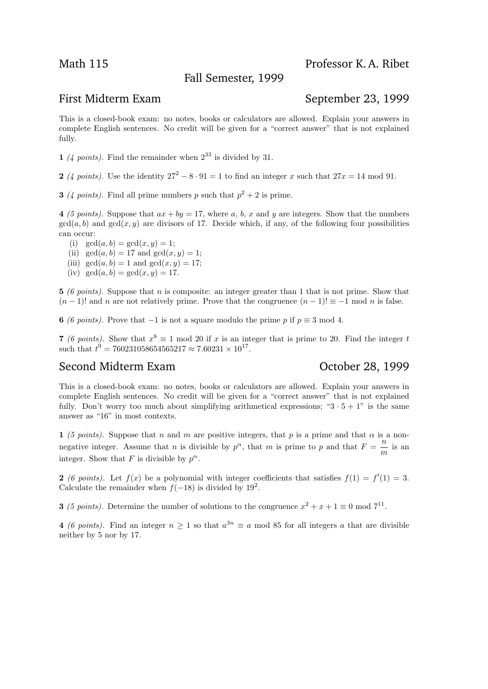Fall Semester, 1999

## Math 115 Professor K.A. Ribet

## First Midterm Exam September 23, 1999

This is a closed-book exam: no notes, books or calculators are allowed. Explain your answers in complete English sentences. No credit will be given for a "correct answer" that is not explained fully.

1 (4 points). Find the remainder when  $2^{33}$  is divided by 31.

2 (4 points). Use the identity  $27^2 - 8 \cdot 91 = 1$  to find an integer x such that  $27x = 14$  mod 91.

**3** (4 points). Find all prime numbers p such that  $p^2 + 2$  is prime.

4 (5 points). Suppose that  $ax + by = 17$ , where a, b, x and y are integers. Show that the numbers  $gcd(a, b)$  and  $gcd(x, y)$  are divisors of 17. Decide which, if any, of the following four possibilities can occur:

- (i)  $gcd(a, b) = gcd(x, y) = 1;$
- (ii)  $\gcd(a, b) = 17$  and  $\gcd(x, y) = 1$ ;
- (iii)  $gcd(a, b) = 1$  and  $gcd(x, y) = 17$ ;
- (iv)  $gcd(a, b) = gcd(x, y) = 17.$

5 (6 points). Suppose that n is composite: an integer greater than 1 that is not prime. Show that  $(n-1)!$  and n are not relatively prime. Prove that the congruence  $(n-1)! \equiv -1 \mod n$  is false.

**6** (6 points). Prove that  $-1$  is not a square modulo the prime p if  $p \equiv 3 \mod 4$ .

7 (6 points). Show that  $x^8 \equiv 1 \mod 20$  if x is an integer that is prime to 20. Find the integer t such that  $t^9 = 760231058654565217 \approx 7.60231 \times 10^{17}$ .

# Second Midterm Exam **Second Midterm Exam** October 28, 1999

This is a closed-book exam: no notes, books or calculators are allowed. Explain your answers in complete English sentences. No credit will be given for a "correct answer" that is not explained fully. Don't worry too much about simplifying arithmetical expressions; " $3 \cdot 5 + 1$ " is the same answer as "16" in most contexts.

1 (5 points). Suppose that n and m are positive integers, that p is a prime and that  $\alpha$  is a nonnegative integer. Assume that *n* is divisible by  $p^{\alpha}$ , that *m* is prime to *p* and that  $F = \frac{n}{\alpha}$  $\frac{n}{m}$  is an integer. Show that F is divisible by  $p^{\alpha}$ .

2 (6 points). Let  $f(x)$  be a polynomial with integer coefficients that satisfies  $f(1) = f'(1) = 3$ . Calculate the remainder when  $f(-18)$  is divided by  $19^2$ .

**3** (5 points). Determine the number of solutions to the congruence  $x^2 + x + 1 \equiv 0 \mod 7^{11}$ .

4 (6 points). Find an integer  $n \geq 1$  so that  $a^{3n} \equiv a \mod 85$  for all integers a that are divisible neither by 5 nor by 17.